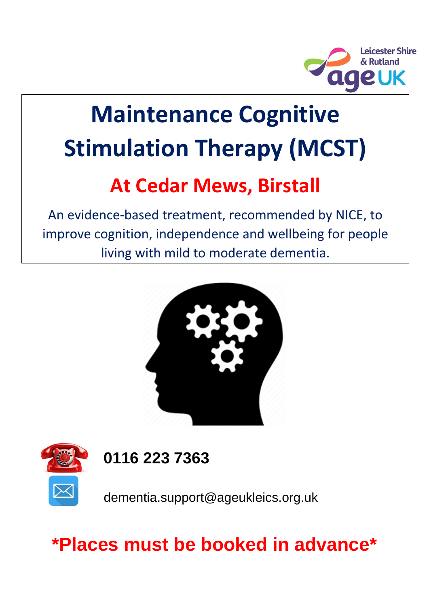

# **Maintenance Cognitive Stimulation Therapy (MCST)**

# **At Cedar Mews, Birstall**

An evidence-based treatment, recommended by NICE, to improve cognition, independence and wellbeing for people living with mild to moderate dementia.





**0116 223 7363**

dementia.support@ageukleics.org.uk

# **\*Places must be booked in advance\***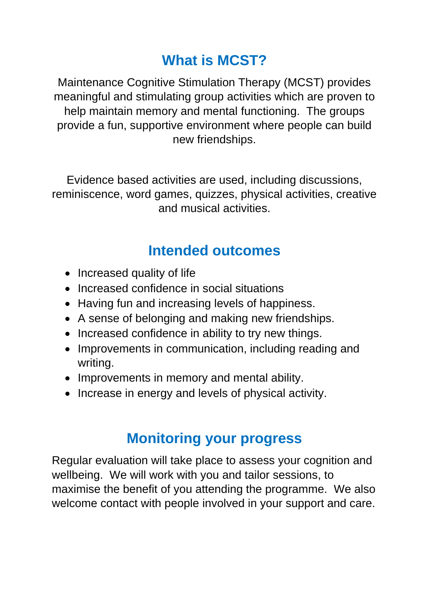#### **What is MCST?**

Maintenance Cognitive Stimulation Therapy (MCST) provides meaningful and stimulating group activities which are proven to help maintain memory and mental functioning. The groups provide a fun, supportive environment where people can build new friendships.

Evidence based activities are used, including discussions, reminiscence, word games, quizzes, physical activities, creative and musical activities.

#### **Intended outcomes**

- Increased quality of life
- Increased confidence in social situations
- Having fun and increasing levels of happiness.
- A sense of belonging and making new friendships.
- Increased confidence in ability to try new things.
- Improvements in communication, including reading and writing.
- Improvements in memory and mental ability.
- Increase in energy and levels of physical activity.

#### **Monitoring your progress**

Regular evaluation will take place to assess your cognition and wellbeing. We will work with you and tailor sessions, to maximise the benefit of you attending the programme. We also welcome contact with people involved in your support and care.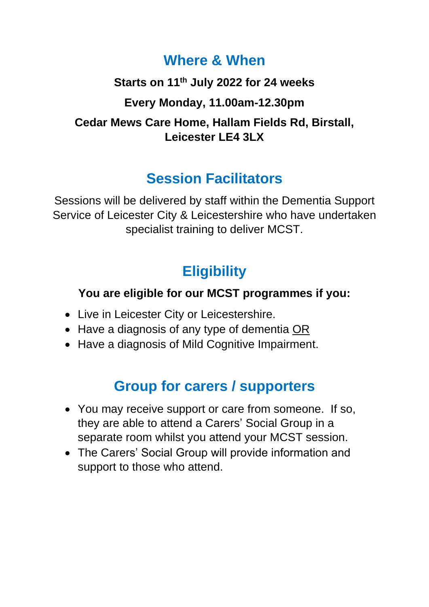#### **Where & When**

# **Starts on 11th July 2022 for 24 weeks Every Monday, 11.00am-12.30pm Cedar Mews Care Home, Hallam Fields Rd, Birstall, Leicester LE4 3LX**

### **Session Facilitators**

Sessions will be delivered by staff within the Dementia Support Service of Leicester City & Leicestershire who have undertaken specialist training to deliver MCST.

# **Eligibility**

#### **You are eligible for our MCST programmes if you:**

- Live in Leicester City or Leicestershire.
- Have a diagnosis of any type of dementia OR
- Have a diagnosis of Mild Cognitive Impairment.

# **Group for carers / supporters**

- You may receive support or care from someone. If so, they are able to attend a Carers' Social Group in a separate room whilst you attend your MCST session.
- The Carers' Social Group will provide information and support to those who attend.